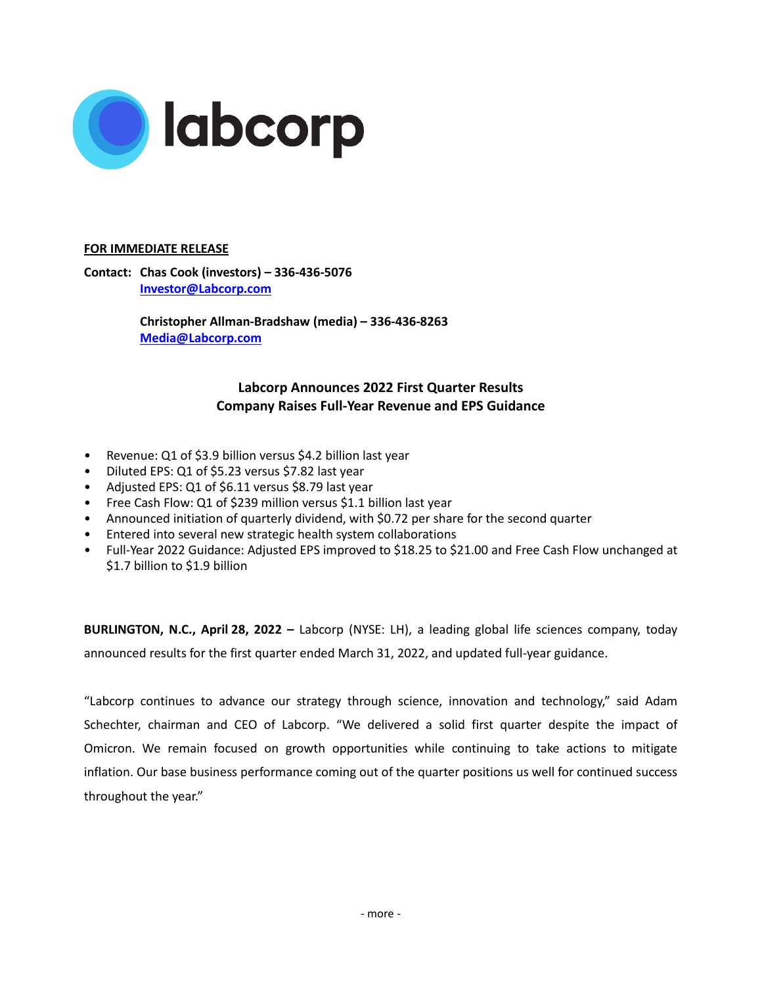

## **FOR IMMEDIATE RELEASE**

**Contact: Chas Cook (investors) – 336-436-5076 Investor@Labcorp.com**

> **Christopher Allman-Bradshaw (media) – 336-436-8263 Media@Labcorp.com**

# **Labcorp Announces 2022 First Quarter Results Company Raises Full-Year Revenue and EPS Guidance**

- Revenue: Q1 of \$3.9 billion versus \$4.2 billion last year
- Diluted EPS: Q1 of \$5.23 versus \$7.82 last year
- Adjusted EPS: Q1 of \$6.11 versus \$8.79 last year
- Free Cash Flow: Q1 of \$239 million versus \$1.1 billion last year
- Announced initiation of quarterly dividend, with \$0.72 per share for the second quarter
- Entered into several new strategic health system collaborations
- Full-Year 2022 Guidance: Adjusted EPS improved to \$18.25 to \$21.00 and Free Cash Flow unchanged at \$1.7 billion to \$1.9 billion

**BURLINGTON, N.C., April 28, 2022 –** Labcorp (NYSE: LH), a leading global life sciences company, today announced results for the first quarter ended March 31, 2022, and updated full-year guidance.

"Labcorp continues to advance our strategy through science, innovation and technology," said Adam Schechter, chairman and CEO of Labcorp. "We delivered a solid first quarter despite the impact of Omicron. We remain focused on growth opportunities while continuing to take actions to mitigate inflation. Our base business performance coming out of the quarter positions us well for continued success throughout the year."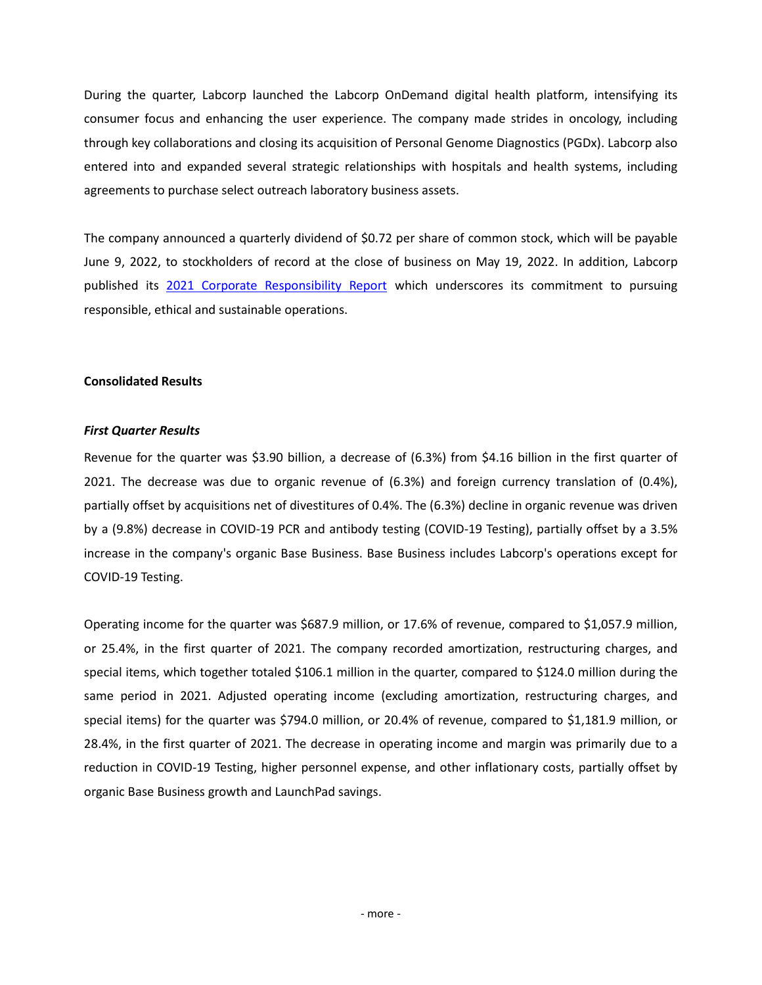During the quarter, Labcorp launched the Labcorp OnDemand digital health platform, intensifying its consumer focus and enhancing the user experience. The company made strides in oncology, including through key collaborations and closing its acquisition of Personal Genome Diagnostics (PGDx). Labcorp also entered into and expanded several strategic relationships with hospitals and health systems, including agreements to purchase select outreach laboratory business assets.

The company announced a quarterly dividend of \$0.72 per share of common stock, which will be payable June 9, 2022, to stockholders of record at the close of business on May 19, 2022. In addition, Labcorp published its 2021 Corporate [Responsibility](https://ir.labcorp.com/static-files/4533d4dc-d70d-4a3b-8f2a-a333f936349f) Report which underscores its commitment to pursuing responsible, ethical and sustainable operations.

## **Consolidated Results**

## *First Quarter Results*

Revenue for the quarter was \$3.90 billion, a decrease of (6.3%) from \$4.16 billion in the first quarter of 2021. The decrease was due to organic revenue of (6.3%) and foreign currency translation of (0.4%), partially offset by acquisitions net of divestitures of 0.4%. The (6.3%) decline in organic revenue was driven by a (9.8%) decrease in COVID-19 PCR and antibody testing (COVID-19 Testing), partially offset by a 3.5% increase in the company's organic Base Business. Base Business includes Labcorp's operations except for COVID-19 Testing.

Operating income for the quarter was \$687.9 million, or 17.6% of revenue, compared to \$1,057.9 million, or 25.4%, in the first quarter of 2021. The company recorded amortization, restructuring charges, and special items, which together totaled \$106.1 million in the quarter, compared to \$124.0 million during the same period in 2021. Adjusted operating income (excluding amortization, restructuring charges, and special items) for the quarter was \$794.0 million, or 20.4% of revenue, compared to \$1,181.9 million, or 28.4%, in the first quarter of 2021. The decrease in operating income and margin was primarily due to a reduction in COVID-19 Testing, higher personnel expense, and other inflationary costs, partially offset by organic Base Business growth and LaunchPad savings.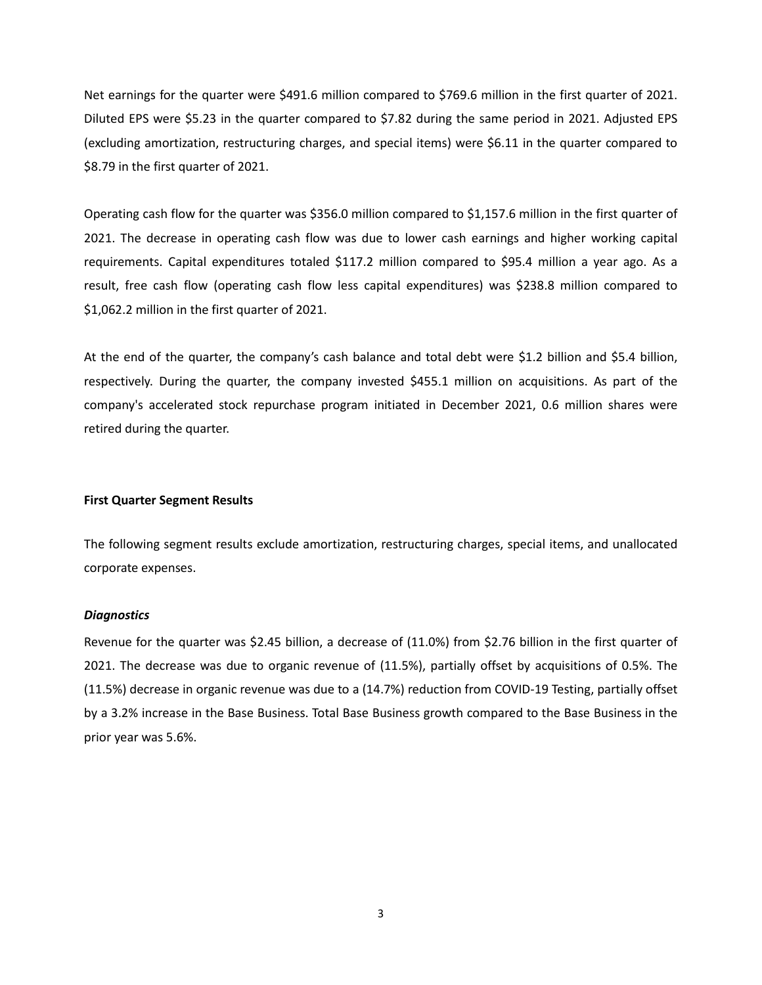Net earnings for the quarter were \$491.6 million compared to \$769.6 million in the first quarter of 2021. Diluted EPS were \$5.23 in the quarter compared to \$7.82 during the same period in 2021. Adjusted EPS (excluding amortization, restructuring charges, and special items) were \$6.11 in the quarter compared to \$8.79 in the first quarter of 2021.

Operating cash flow for the quarter was \$356.0 million compared to \$1,157.6 million in the first quarter of 2021. The decrease in operating cash flow was due to lower cash earnings and higher working capital requirements. Capital expenditures totaled \$117.2 million compared to \$95.4 million a year ago. As a result, free cash flow (operating cash flow less capital expenditures) was \$238.8 million compared to \$1,062.2 million in the first quarter of 2021.

At the end of the quarter, the company's cash balance and total debt were \$1.2 billion and \$5.4 billion, respectively. During the quarter, the company invested \$455.1 million on acquisitions. As part of the company's accelerated stock repurchase program initiated in December 2021, 0.6 million shares were retired during the quarter.

#### **First Quarter Segment Results**

The following segment results exclude amortization, restructuring charges, special items, and unallocated corporate expenses.

#### *Diagnostics*

Revenue for the quarter was \$2.45 billion, a decrease of (11.0%) from \$2.76 billion in the first quarter of 2021. The decrease was due to organic revenue of (11.5%), partially offset by acquisitions of 0.5%. The (11.5%) decrease in organic revenue was due to a (14.7%) reduction from COVID-19 Testing, partially offset by a 3.2% increase in the Base Business. Total Base Business growth compared to the Base Business in the prior year was 5.6%.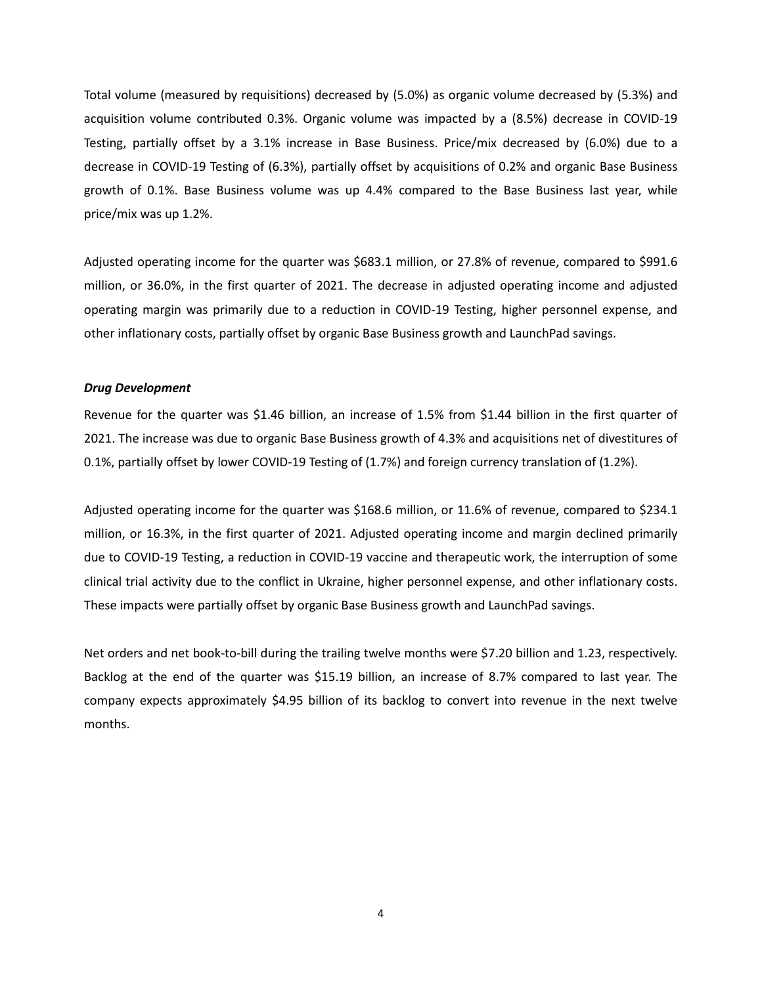Total volume (measured by requisitions) decreased by (5.0%) as organic volume decreased by (5.3%) and acquisition volume contributed 0.3%. Organic volume was impacted by a (8.5%) decrease in COVID-19 Testing, partially offset by a 3.1% increase in Base Business. Price/mix decreased by (6.0%) due to a decrease in COVID-19 Testing of (6.3%), partially offset by acquisitions of 0.2% and organic Base Business growth of 0.1%. Base Business volume was up 4.4% compared to the Base Business last year, while price/mix was up 1.2%.

Adjusted operating income for the quarter was \$683.1 million, or 27.8% of revenue, compared to \$991.6 million, or 36.0%, in the first quarter of 2021. The decrease in adjusted operating income and adjusted operating margin was primarily due to a reduction in COVID-19 Testing, higher personnel expense, and other inflationary costs, partially offset by organic Base Business growth and LaunchPad savings.

#### *Drug Development*

Revenue for the quarter was \$1.46 billion, an increase of 1.5% from \$1.44 billion in the first quarter of 2021. The increase was due to organic Base Business growth of 4.3% and acquisitions net of divestitures of 0.1%, partially offset by lower COVID-19 Testing of (1.7%) and foreign currency translation of (1.2%).

Adjusted operating income for the quarter was \$168.6 million, or 11.6% of revenue, compared to \$234.1 million, or 16.3%, in the first quarter of 2021. Adjusted operating income and margin declined primarily due to COVID-19 Testing, a reduction in COVID-19 vaccine and therapeutic work, the interruption of some clinical trial activity due to the conflict in Ukraine, higher personnel expense, and other inflationary costs. These impacts were partially offset by organic Base Business growth and LaunchPad savings.

Net orders and net book-to-bill during the trailing twelve months were \$7.20 billion and 1.23, respectively. Backlog at the end of the quarter was \$15.19 billion, an increase of 8.7% compared to last year. The company expects approximately \$4.95 billion of its backlog to convert into revenue in the next twelve months.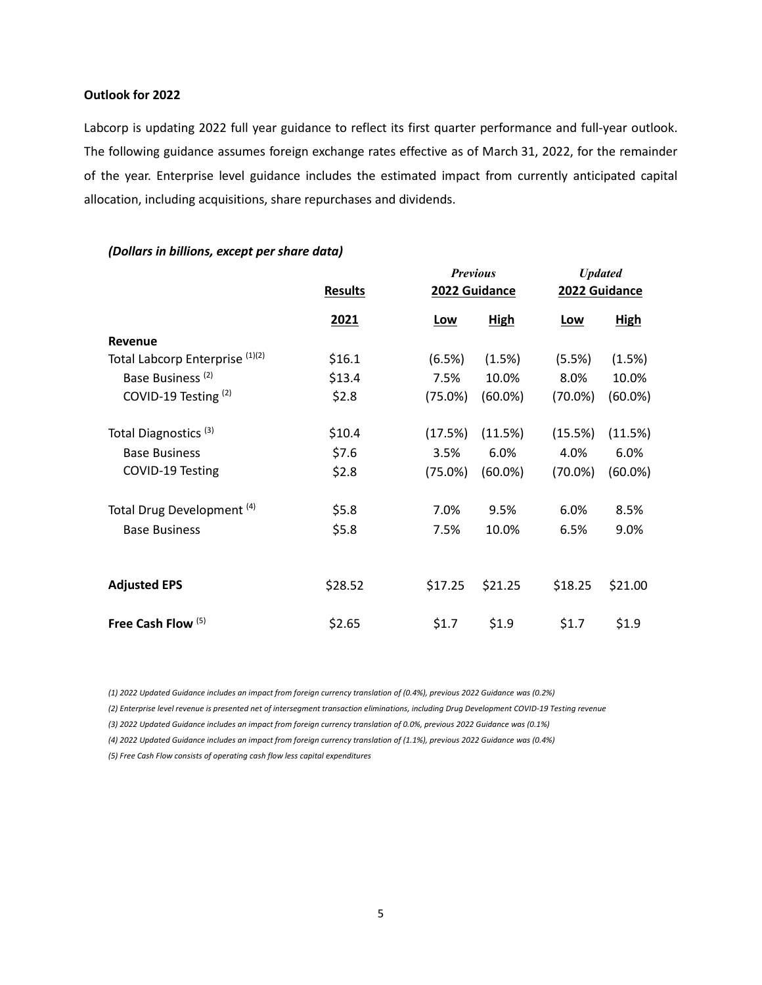## **Outlook for 2022**

Labcorp is updating 2022 full year guidance to reflect its first quarter performance and full-year outlook. The following guidance assumes foreign exchange rates effective as of March 31, 2022, for the remainder of the year. Enterprise level guidance includes the estimated impact from currently anticipated capital allocation, including acquisitions, share repurchases and dividends.

|                                       |                |               | <b>Previous</b> |               | <b>Updated</b> |  |  |
|---------------------------------------|----------------|---------------|-----------------|---------------|----------------|--|--|
|                                       | <b>Results</b> | 2022 Guidance |                 | 2022 Guidance |                |  |  |
|                                       | 2021           | <u>Low</u>    | <b>High</b>     | <u>Low</u>    | <b>High</b>    |  |  |
| <b>Revenue</b>                        |                |               |                 |               |                |  |  |
| Total Labcorp Enterprise (1)(2)       | \$16.1         | (6.5%)        | (1.5%)          | (5.5%)        | (1.5%)         |  |  |
| Base Business <sup>(2)</sup>          | \$13.4         | 7.5%          | 10.0%           | 8.0%          | 10.0%          |  |  |
| COVID-19 Testing <sup>(2)</sup>       | \$2.8          | (75.0%)       | $(60.0\%)$      | $(70.0\%)$    | $(60.0\%)$     |  |  |
| Total Diagnostics <sup>(3)</sup>      | \$10.4         | (17.5%)       | (11.5%)         | (15.5%)       | (11.5%)        |  |  |
| <b>Base Business</b>                  | \$7.6          | 3.5%          | 6.0%            | 4.0%          | 6.0%           |  |  |
| COVID-19 Testing                      | \$2.8          | $(75.0\%)$    | $(60.0\%)$      | $(70.0\%)$    | $(60.0\%)$     |  |  |
| Total Drug Development <sup>(4)</sup> | \$5.8          | 7.0%          | 9.5%            | 6.0%          | 8.5%           |  |  |
| <b>Base Business</b>                  | \$5.8          | 7.5%          | 10.0%           | 6.5%          | 9.0%           |  |  |
|                                       |                |               |                 |               |                |  |  |
| <b>Adjusted EPS</b>                   | \$28.52        | \$17.25       | \$21.25         | \$18.25       | \$21.00        |  |  |
| Free Cash Flow <sup>(5)</sup>         | \$2.65         | \$1.7         | \$1.9           | \$1.7         | \$1.9          |  |  |

### *(Dollars in billions, except per share data)*

*(1) 2022 Updated Guidance includes an impact from foreign currency translation of (0.4%), previous 2022 Guidance was (0.2%)*

*(2) Enterprise level revenue is presented net of intersegment transaction eliminations, including Drug Development COVID-19 Testing revenue*

*(3) 2022 Updated Guidance includes an impact from foreign currency translation of 0.0%, previous 2022 Guidance was (0.1%)*

*(4) 2022 Updated Guidance includes an impact from foreign currency translation of (1.1%), previous 2022 Guidance was (0.4%)*

*(5) Free Cash Flow consists of operating cash flow less capital expenditures*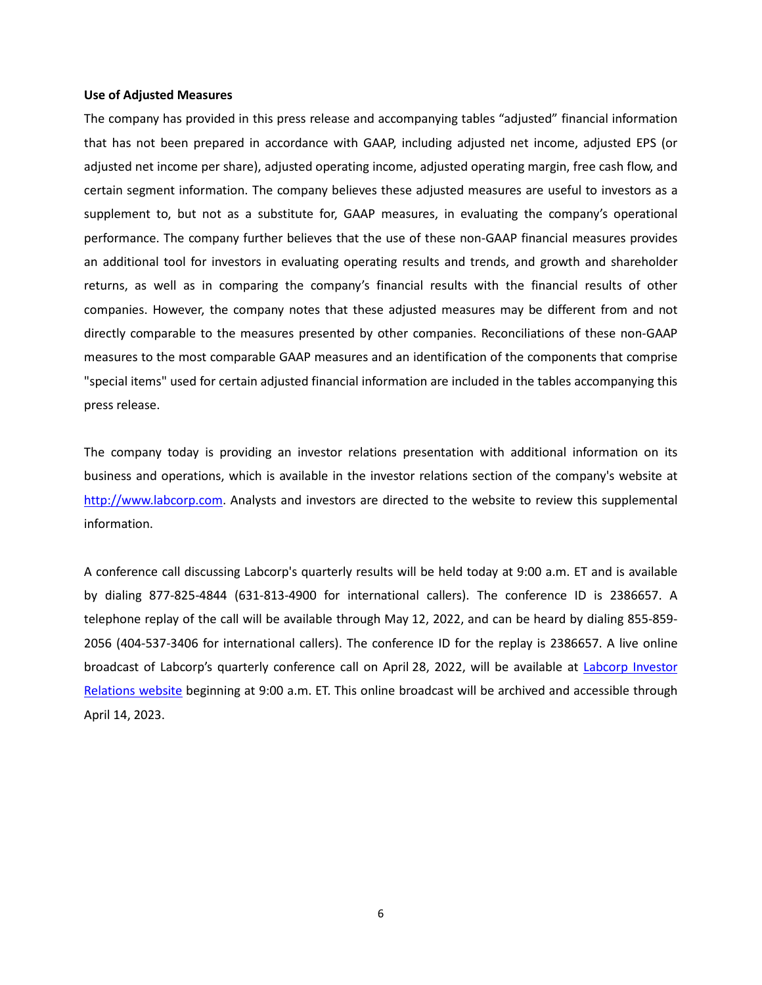#### **Use of Adjusted Measures**

The company has provided in this press release and accompanying tables "adjusted" financial information that has not been prepared in accordance with GAAP, including adjusted net income, adjusted EPS (or adjusted net income per share), adjusted operating income, adjusted operating margin, free cash flow, and certain segment information. The company believes these adjusted measures are useful to investors as a supplement to, but not as a substitute for, GAAP measures, in evaluating the company's operational performance. The company further believes that the use of these non-GAAP financial measures provides an additional tool for investors in evaluating operating results and trends, and growth and shareholder returns, as well as in comparing the company's financial results with the financial results of other companies. However, the company notes that these adjusted measures may be different from and not directly comparable to the measures presented by other companies. Reconciliations of these non-GAAP measures to the most comparable GAAP measures and an identification of the components that comprise "special items" used for certain adjusted financial information are included in the tables accompanying this press release.

The company today is providing an investor relations presentation with additional information on its business and operations, which is available in the investor relations section of the company's website at [http://www.labcorp.com.](https://www.labcorp.com/) Analysts and investors are directed to the website to review this supplemental information.

A conference call discussing Labcorp's quarterly results will be held today at 9:00 a.m. ET and is available by dialing 877-825-4844 (631-813-4900 for international callers). The conference ID is 2386657. A telephone replay of the call will be available through May 12, 2022, and can be heard by dialing 855-859- 2056 (404-537-3406 for international callers). The conference ID for the replay is 2386657. A live online broadcast of Labcorp's quarterly conference call on April 28, 2022, will be available at Labcorp Investor [Relations website](https://ir.labcorp.com/) beginning at 9:00 a.m. ET. This online broadcast will be archived and accessible through April 14, 2023.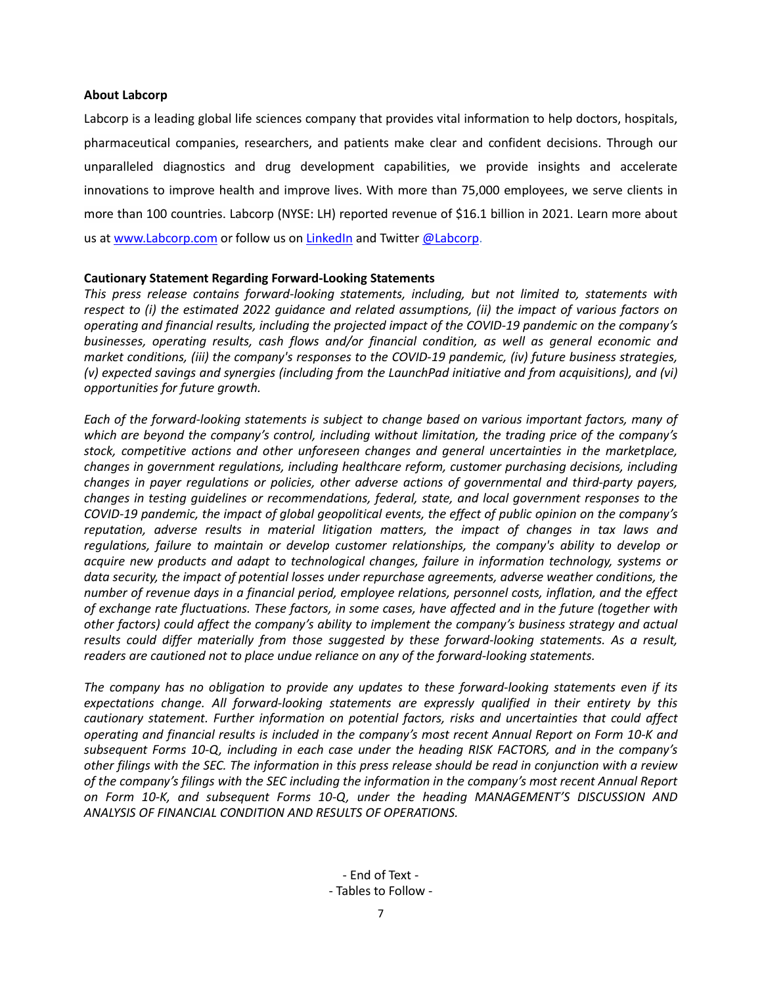#### **About Labcorp**

Labcorp is a leading global life sciences company that provides vital information to help doctors, hospitals, pharmaceutical companies, researchers, and patients make clear and confident decisions. Through our unparalleled diagnostics and drug development capabilities, we provide insights and accelerate innovations to improve health and improve lives. With more than 75,000 employees, we serve clients in more than 100 countries. Labcorp (NYSE: LH) reported revenue of \$16.1 billion in 2021. Learn more about us a[t www.Labcorp.com](https://www.labcorp.com/) or follow us on [LinkedIn](https://www.linkedin.com/company/labcorp/) and Twitte[r @Labcorp.](https://twitter.com/LabCorp)

### **Cautionary Statement Regarding Forward-Looking Statements**

*This press release contains forward-looking statements, including, but not limited to, statements with respect to (i) the estimated 2022 guidance and related assumptions, (ii) the impact of various factors on operating and financial results, including the projected impact of the COVID-19 pandemic on the company's businesses, operating results, cash flows and/or financial condition, as well as general economic and market conditions, (iii) the company's responses to the COVID-19 pandemic, (iv) future business strategies, (v) expected savings and synergies (including from the LaunchPad initiative and from acquisitions), and (vi) opportunities for future growth.*

*Each of the forward-looking statements is subject to change based on various important factors, many of which are beyond the company's control, including without limitation, the trading price of the company's stock, competitive actions and other unforeseen changes and general uncertainties in the marketplace, changes in government regulations, including healthcare reform, customer purchasing decisions, including changes in payer regulations or policies, other adverse actions of governmental and third-party payers, changes in testing guidelines or recommendations, federal, state, and local government responses to the COVID-19 pandemic, the impact of global geopolitical events, the effect of public opinion on the company's reputation, adverse results in material litigation matters, the impact of changes in tax laws and regulations, failure to maintain or develop customer relationships, the company's ability to develop or acquire new products and adapt to technological changes, failure in information technology, systems or data security, the impact of potential losses under repurchase agreements, adverse weather conditions, the number of revenue days in a financial period, employee relations, personnel costs, inflation, and the effect of exchange rate fluctuations. These factors, in some cases, have affected and in the future (together with other factors) could affect the company's ability to implement the company's business strategy and actual results could differ materially from those suggested by these forward-looking statements. As a result, readers are cautioned not to place undue reliance on any of the forward-looking statements.*

*The company has no obligation to provide any updates to these forward-looking statements even if its expectations change. All forward-looking statements are expressly qualified in their entirety by this cautionary statement. Further information on potential factors, risks and uncertainties that could affect operating and financial results is included in the company's most recent Annual Report on Form 10-K and subsequent Forms 10-Q, including in each case under the heading RISK FACTORS, and in the company's other filings with the SEC. The information in this press release should be read in conjunction with a review of the company's filings with the SEC including the information in the company's most recent Annual Report on Form 10-K, and subsequent Forms 10-Q, under the heading MANAGEMENT'S DISCUSSION AND ANALYSIS OF FINANCIAL CONDITION AND RESULTS OF OPERATIONS.*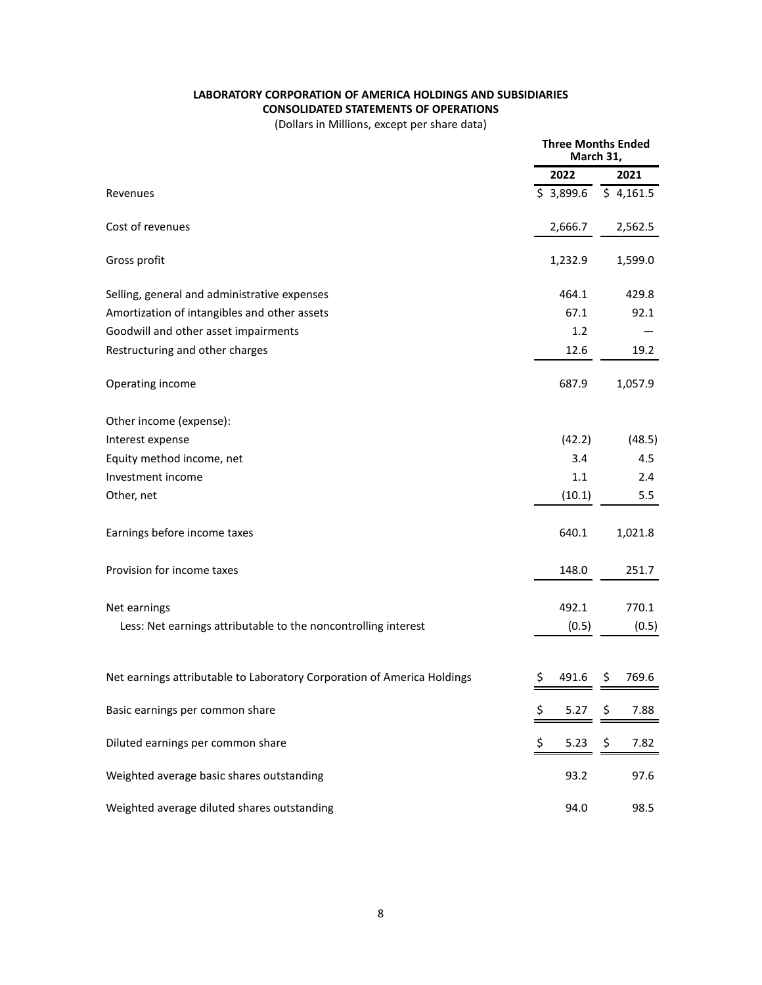## **LABORATORY CORPORATION OF AMERICA HOLDINGS AND SUBSIDIARIES CONSOLIDATED STATEMENTS OF OPERATIONS**

(Dollars in Millions, except per share data)

|                                                                         | <b>Three Months Ended</b><br>March 31, |           |    |           |
|-------------------------------------------------------------------------|----------------------------------------|-----------|----|-----------|
|                                                                         |                                        | 2022      |    | 2021      |
| Revenues                                                                |                                        | \$3,899.6 |    | \$4,161.5 |
| Cost of revenues                                                        |                                        | 2,666.7   |    | 2,562.5   |
| Gross profit                                                            |                                        | 1,232.9   |    | 1,599.0   |
| Selling, general and administrative expenses                            |                                        | 464.1     |    | 429.8     |
| Amortization of intangibles and other assets                            |                                        | 67.1      |    | 92.1      |
| Goodwill and other asset impairments                                    |                                        | 1.2       |    |           |
| Restructuring and other charges                                         |                                        | 12.6      |    | 19.2      |
| Operating income                                                        |                                        | 687.9     |    | 1,057.9   |
| Other income (expense):                                                 |                                        |           |    |           |
| Interest expense                                                        |                                        | (42.2)    |    | (48.5)    |
| Equity method income, net                                               |                                        | 3.4       |    | 4.5       |
| Investment income                                                       |                                        | 1.1       |    | 2.4       |
| Other, net                                                              |                                        | (10.1)    |    | 5.5       |
| Earnings before income taxes                                            |                                        | 640.1     |    | 1,021.8   |
| Provision for income taxes                                              |                                        | 148.0     |    | 251.7     |
| Net earnings                                                            |                                        | 492.1     |    | 770.1     |
| Less: Net earnings attributable to the noncontrolling interest          |                                        | (0.5)     |    | (0.5)     |
|                                                                         |                                        |           |    |           |
| Net earnings attributable to Laboratory Corporation of America Holdings | Ş                                      | 491.6     | \$ | 769.6     |
| Basic earnings per common share                                         | \$                                     | 5.27      | S  | 7.88      |
| Diluted earnings per common share                                       | \$                                     | 5.23      | \$ | 7.82      |
| Weighted average basic shares outstanding                               |                                        | 93.2      |    | 97.6      |
| Weighted average diluted shares outstanding                             |                                        | 94.0      |    | 98.5      |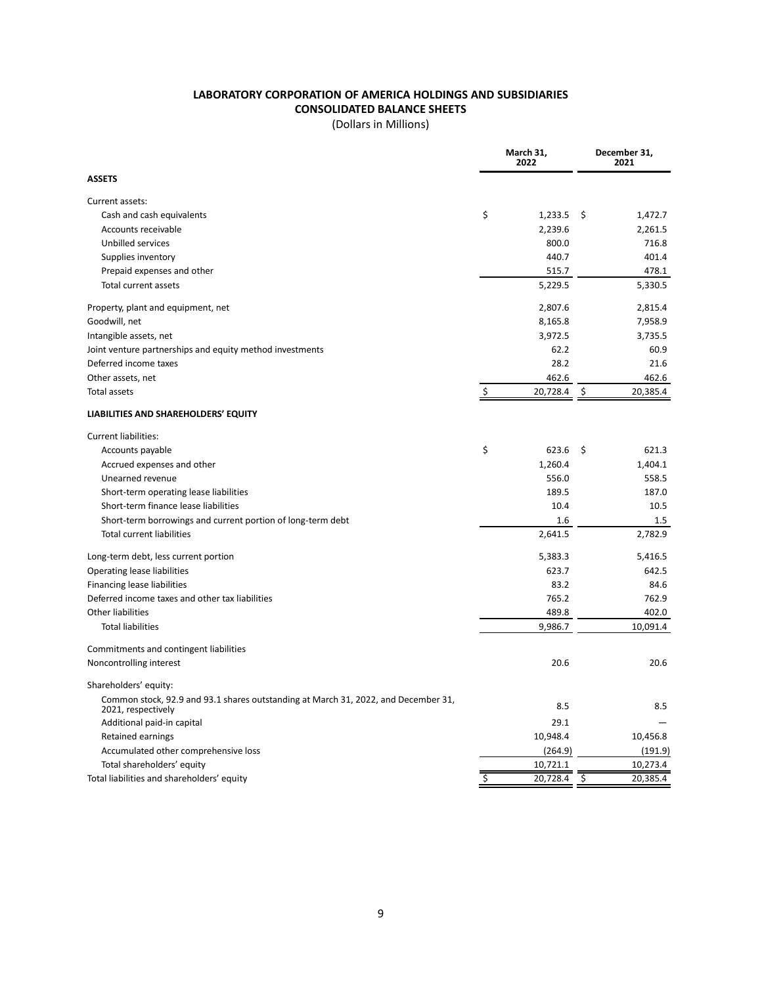# **LABORATORY CORPORATION OF AMERICA HOLDINGS AND SUBSIDIARIES CONSOLIDATED BALANCE SHEETS**

(Dollars in Millions)

|                                                                                                          |    | March 31,<br>2022 |      | December 31,<br>2021 |  |
|----------------------------------------------------------------------------------------------------------|----|-------------------|------|----------------------|--|
| <b>ASSETS</b>                                                                                            |    |                   |      |                      |  |
| Current assets:                                                                                          |    |                   |      |                      |  |
| Cash and cash equivalents                                                                                | \$ | 1,233.5           | - \$ | 1,472.7              |  |
| Accounts receivable                                                                                      |    | 2,239.6           |      | 2,261.5              |  |
| Unbilled services                                                                                        |    | 800.0             |      | 716.8                |  |
| Supplies inventory                                                                                       |    | 440.7             |      | 401.4                |  |
| Prepaid expenses and other                                                                               |    | 515.7             |      | 478.1                |  |
| Total current assets                                                                                     |    | 5,229.5           |      | 5,330.5              |  |
| Property, plant and equipment, net                                                                       |    | 2,807.6           |      | 2,815.4              |  |
| Goodwill, net                                                                                            |    | 8,165.8           |      | 7,958.9              |  |
| Intangible assets, net                                                                                   |    | 3,972.5           |      | 3,735.5              |  |
| Joint venture partnerships and equity method investments                                                 |    | 62.2              |      | 60.9                 |  |
| Deferred income taxes                                                                                    |    | 28.2              |      | 21.6                 |  |
| Other assets, net                                                                                        |    | 462.6             |      | 462.6                |  |
| Total assets                                                                                             | \$ | 20,728.4          | \$   | 20,385.4             |  |
| LIABILITIES AND SHAREHOLDERS' EQUITY                                                                     |    |                   |      |                      |  |
| <b>Current liabilities:</b>                                                                              |    |                   |      |                      |  |
| Accounts payable                                                                                         | \$ | 623.6             | -\$  | 621.3                |  |
| Accrued expenses and other                                                                               |    | 1,260.4           |      | 1,404.1              |  |
| Unearned revenue                                                                                         |    | 556.0             |      | 558.5                |  |
| Short-term operating lease liabilities                                                                   |    | 189.5             |      | 187.0                |  |
| Short-term finance lease liabilities                                                                     |    | 10.4              |      | 10.5                 |  |
| Short-term borrowings and current portion of long-term debt                                              |    | 1.6               |      | $1.5\,$              |  |
| <b>Total current liabilities</b>                                                                         |    | 2,641.5           |      | 2,782.9              |  |
| Long-term debt, less current portion                                                                     |    | 5,383.3           |      | 5,416.5              |  |
| Operating lease liabilities                                                                              |    | 623.7             |      | 642.5                |  |
| Financing lease liabilities                                                                              |    | 83.2              |      | 84.6                 |  |
| Deferred income taxes and other tax liabilities                                                          |    | 765.2             |      | 762.9                |  |
| Other liabilities                                                                                        |    | 489.8             |      | 402.0                |  |
| <b>Total liabilities</b>                                                                                 |    | 9,986.7           |      | 10,091.4             |  |
| Commitments and contingent liabilities                                                                   |    |                   |      |                      |  |
| Noncontrolling interest                                                                                  |    | 20.6              |      | 20.6                 |  |
| Shareholders' equity:                                                                                    |    |                   |      |                      |  |
| Common stock, 92.9 and 93.1 shares outstanding at March 31, 2022, and December 31,<br>2021, respectively |    | 8.5               |      | 8.5                  |  |
| Additional paid-in capital                                                                               |    | 29.1              |      |                      |  |
| Retained earnings                                                                                        |    | 10,948.4          |      | 10,456.8             |  |
| Accumulated other comprehensive loss                                                                     |    | (264.9)           |      | (191.9)              |  |
| Total shareholders' equity                                                                               |    | 10,721.1          |      | 10,273.4             |  |
| Total liabilities and shareholders' equity                                                               | Ś  | 20,728.4          | \$   | 20,385.4             |  |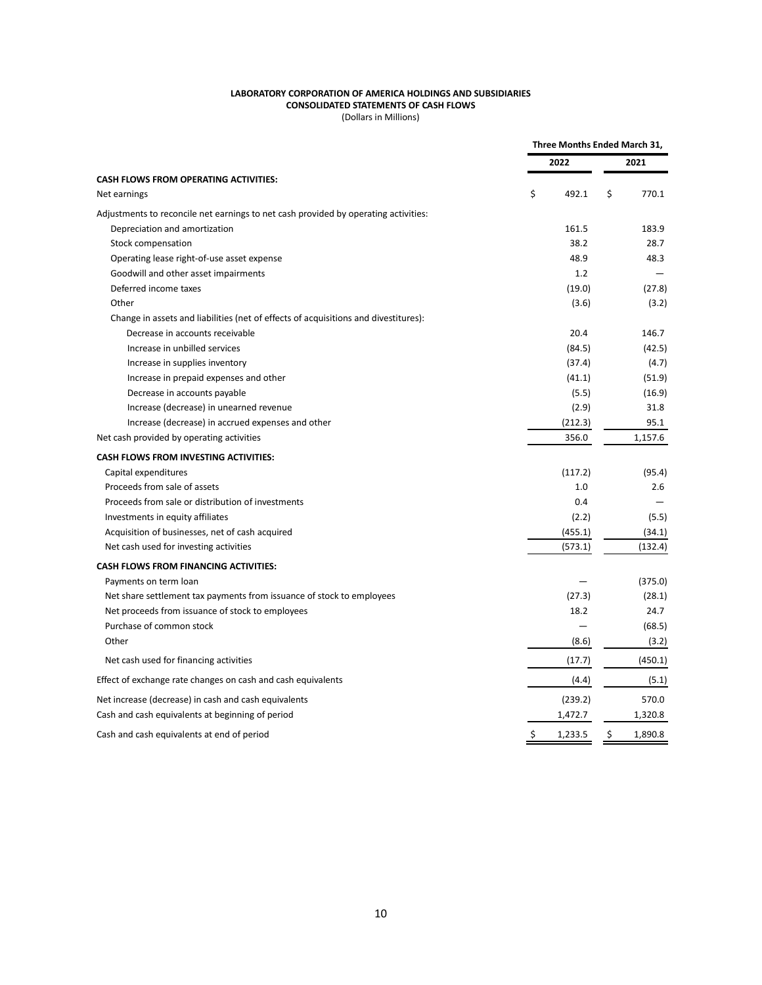#### **LABORATORY CORPORATION OF AMERICA HOLDINGS AND SUBSIDIARIES CONSOLIDATED STATEMENTS OF CASH FLOWS**

(Dollars in Millions)

|                                                                                     | Three Months Ended March 31, |         |    |         |  |
|-------------------------------------------------------------------------------------|------------------------------|---------|----|---------|--|
|                                                                                     | 2022                         |         |    | 2021    |  |
| <b>CASH FLOWS FROM OPERATING ACTIVITIES:</b>                                        |                              |         |    |         |  |
| Net earnings                                                                        | \$                           | 492.1   | \$ | 770.1   |  |
| Adjustments to reconcile net earnings to net cash provided by operating activities: |                              |         |    |         |  |
| Depreciation and amortization                                                       |                              | 161.5   |    | 183.9   |  |
| Stock compensation                                                                  |                              | 38.2    |    | 28.7    |  |
| Operating lease right-of-use asset expense                                          |                              | 48.9    |    | 48.3    |  |
| Goodwill and other asset impairments                                                |                              | 1.2     |    |         |  |
| Deferred income taxes                                                               |                              | (19.0)  |    | (27.8)  |  |
| Other                                                                               |                              | (3.6)   |    | (3.2)   |  |
| Change in assets and liabilities (net of effects of acquisitions and divestitures): |                              |         |    |         |  |
| Decrease in accounts receivable                                                     |                              | 20.4    |    | 146.7   |  |
| Increase in unbilled services                                                       |                              | (84.5)  |    | (42.5)  |  |
| Increase in supplies inventory                                                      |                              | (37.4)  |    | (4.7)   |  |
| Increase in prepaid expenses and other                                              |                              | (41.1)  |    | (51.9)  |  |
| Decrease in accounts payable                                                        |                              | (5.5)   |    | (16.9)  |  |
| Increase (decrease) in unearned revenue                                             |                              | (2.9)   |    | 31.8    |  |
| Increase (decrease) in accrued expenses and other                                   |                              | (212.3) |    | 95.1    |  |
| Net cash provided by operating activities                                           |                              | 356.0   |    | 1,157.6 |  |
| CASH FLOWS FROM INVESTING ACTIVITIES:                                               |                              |         |    |         |  |
| Capital expenditures                                                                |                              | (117.2) |    | (95.4)  |  |
| Proceeds from sale of assets                                                        |                              | 1.0     |    | 2.6     |  |
| Proceeds from sale or distribution of investments                                   |                              | 0.4     |    |         |  |
| Investments in equity affiliates                                                    |                              | (2.2)   |    | (5.5)   |  |
| Acquisition of businesses, net of cash acquired                                     |                              | (455.1) |    | (34.1)  |  |
| Net cash used for investing activities                                              |                              | (573.1) |    | (132.4) |  |
| <b>CASH FLOWS FROM FINANCING ACTIVITIES:</b>                                        |                              |         |    |         |  |
| Payments on term loan                                                               |                              |         |    | (375.0) |  |
| Net share settlement tax payments from issuance of stock to employees               |                              | (27.3)  |    | (28.1)  |  |
| Net proceeds from issuance of stock to employees                                    |                              | 18.2    |    | 24.7    |  |
| Purchase of common stock                                                            |                              |         |    | (68.5)  |  |
| Other                                                                               |                              | (8.6)   |    | (3.2)   |  |
| Net cash used for financing activities                                              |                              | (17.7)  |    | (450.1) |  |
| Effect of exchange rate changes on cash and cash equivalents                        |                              | (4.4)   |    | (5.1)   |  |
| Net increase (decrease) in cash and cash equivalents                                |                              | (239.2) |    | 570.0   |  |
| Cash and cash equivalents at beginning of period                                    |                              | 1,472.7 |    | 1,320.8 |  |
| Cash and cash equivalents at end of period                                          | \$                           | 1,233.5 | \$ | 1,890.8 |  |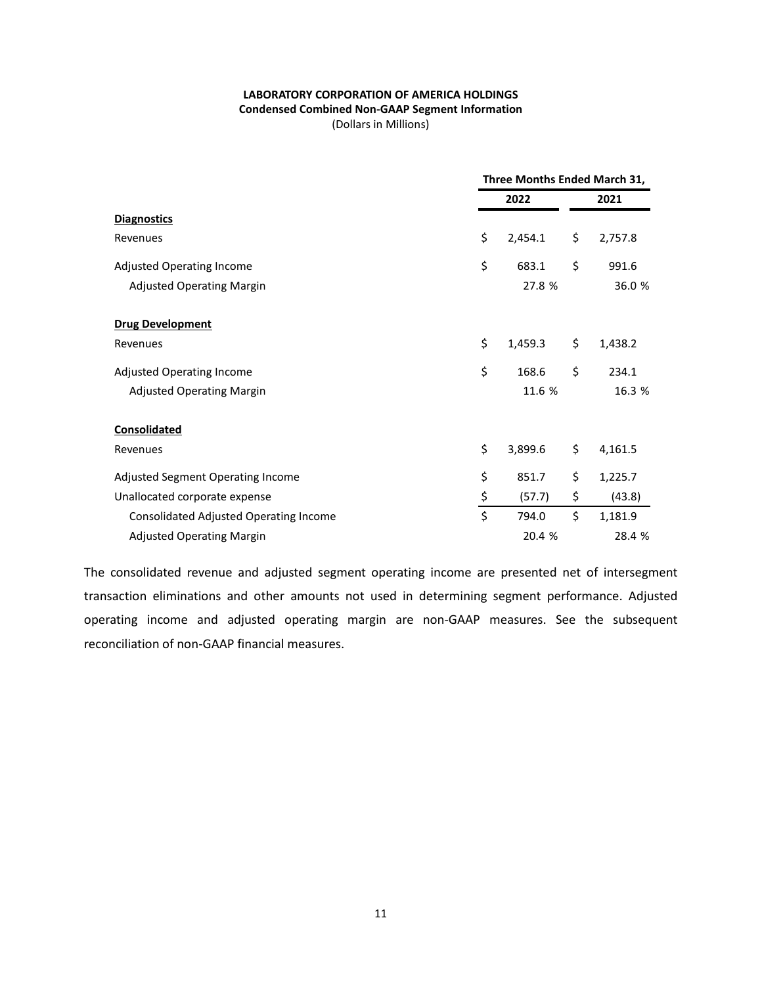### **LABORATORY CORPORATION OF AMERICA HOLDINGS Condensed Combined Non-GAAP Segment Information** (Dollars in Millions)

|                                        | Three Months Ended March 31, |                  |    |         |
|----------------------------------------|------------------------------|------------------|----|---------|
|                                        |                              | 2022             |    | 2021    |
| <b>Diagnostics</b>                     |                              |                  |    |         |
| Revenues                               | \$                           | 2,454.1          | \$ | 2,757.8 |
| <b>Adjusted Operating Income</b>       | \$                           | 683.1            | \$ | 991.6   |
| <b>Adjusted Operating Margin</b>       |                              | 27.8 %           |    | 36.0 %  |
| <b>Drug Development</b>                |                              |                  |    |         |
| Revenues                               | \$                           | 1,459.3          | \$ | 1,438.2 |
| <b>Adjusted Operating Income</b>       | \$                           | 168.6            | \$ | 234.1   |
| <b>Adjusted Operating Margin</b>       |                              | 16.3 %<br>11.6 % |    |         |
| <b>Consolidated</b>                    |                              |                  |    |         |
| Revenues                               | \$                           | 3,899.6          | \$ | 4,161.5 |
| Adjusted Segment Operating Income      | \$                           | 851.7            | \$ | 1,225.7 |
| Unallocated corporate expense          | \$                           | (57.7)           | \$ | (43.8)  |
| Consolidated Adjusted Operating Income | \$                           | 794.0            | \$ | 1,181.9 |
| <b>Adjusted Operating Margin</b>       |                              | 20.4 %           |    | 28.4 %  |

The consolidated revenue and adjusted segment operating income are presented net of intersegment transaction eliminations and other amounts not used in determining segment performance. Adjusted operating income and adjusted operating margin are non-GAAP measures. See the subsequent reconciliation of non-GAAP financial measures.